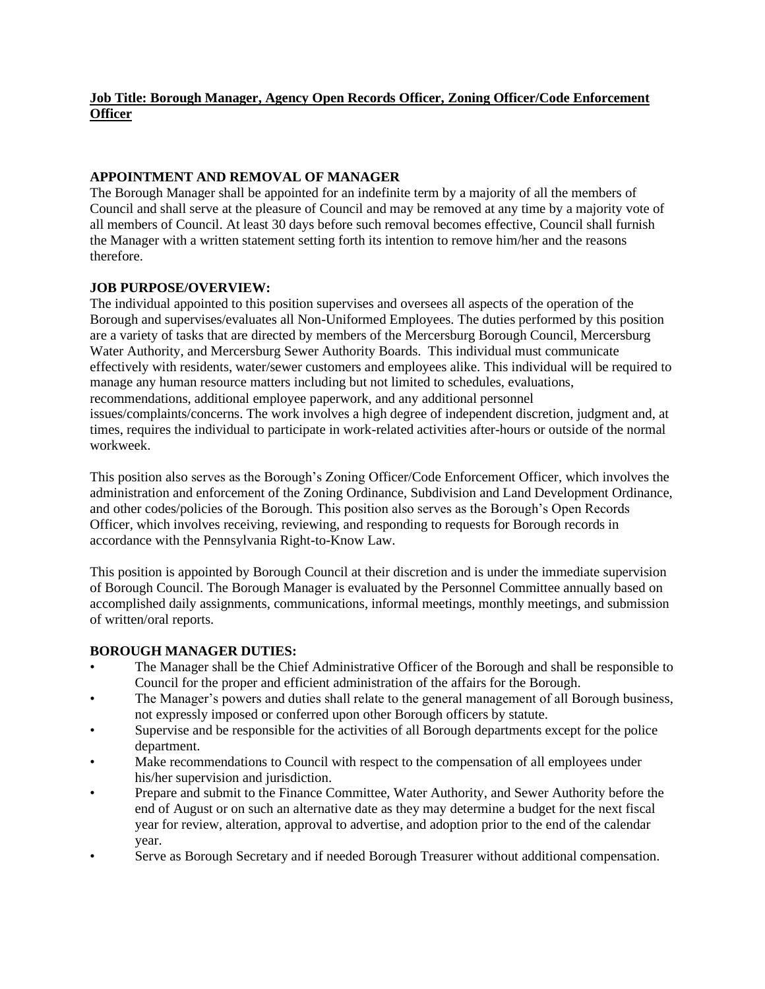# **Job Title: Borough Manager, Agency Open Records Officer, Zoning Officer/Code Enforcement Officer**

#### **APPOINTMENT AND REMOVAL OF MANAGER**

The Borough Manager shall be appointed for an indefinite term by a majority of all the members of Council and shall serve at the pleasure of Council and may be removed at any time by a majority vote of all members of Council. At least 30 days before such removal becomes effective, Council shall furnish the Manager with a written statement setting forth its intention to remove him/her and the reasons therefore.

## **JOB PURPOSE/OVERVIEW:**

The individual appointed to this position supervises and oversees all aspects of the operation of the Borough and supervises/evaluates all Non-Uniformed Employees. The duties performed by this position are a variety of tasks that are directed by members of the Mercersburg Borough Council, Mercersburg Water Authority, and Mercersburg Sewer Authority Boards. This individual must communicate effectively with residents, water/sewer customers and employees alike. This individual will be required to manage any human resource matters including but not limited to schedules, evaluations, recommendations, additional employee paperwork, and any additional personnel issues/complaints/concerns. The work involves a high degree of independent discretion, judgment and, at times, requires the individual to participate in work-related activities after-hours or outside of the normal workweek.

This position also serves as the Borough's Zoning Officer/Code Enforcement Officer, which involves the administration and enforcement of the Zoning Ordinance, Subdivision and Land Development Ordinance, and other codes/policies of the Borough. This position also serves as the Borough's Open Records Officer, which involves receiving, reviewing, and responding to requests for Borough records in accordance with the Pennsylvania Right-to-Know Law.

This position is appointed by Borough Council at their discretion and is under the immediate supervision of Borough Council. The Borough Manager is evaluated by the Personnel Committee annually based on accomplished daily assignments, communications, informal meetings, monthly meetings, and submission of written/oral reports.

#### **BOROUGH MANAGER DUTIES:**

- The Manager shall be the Chief Administrative Officer of the Borough and shall be responsible to Council for the proper and efficient administration of the affairs for the Borough.
- The Manager's powers and duties shall relate to the general management of all Borough business, not expressly imposed or conferred upon other Borough officers by statute.
- Supervise and be responsible for the activities of all Borough departments except for the police department.
- Make recommendations to Council with respect to the compensation of all employees under his/her supervision and jurisdiction.
- Prepare and submit to the Finance Committee, Water Authority, and Sewer Authority before the end of August or on such an alternative date as they may determine a budget for the next fiscal year for review, alteration, approval to advertise, and adoption prior to the end of the calendar year.
- Serve as Borough Secretary and if needed Borough Treasurer without additional compensation.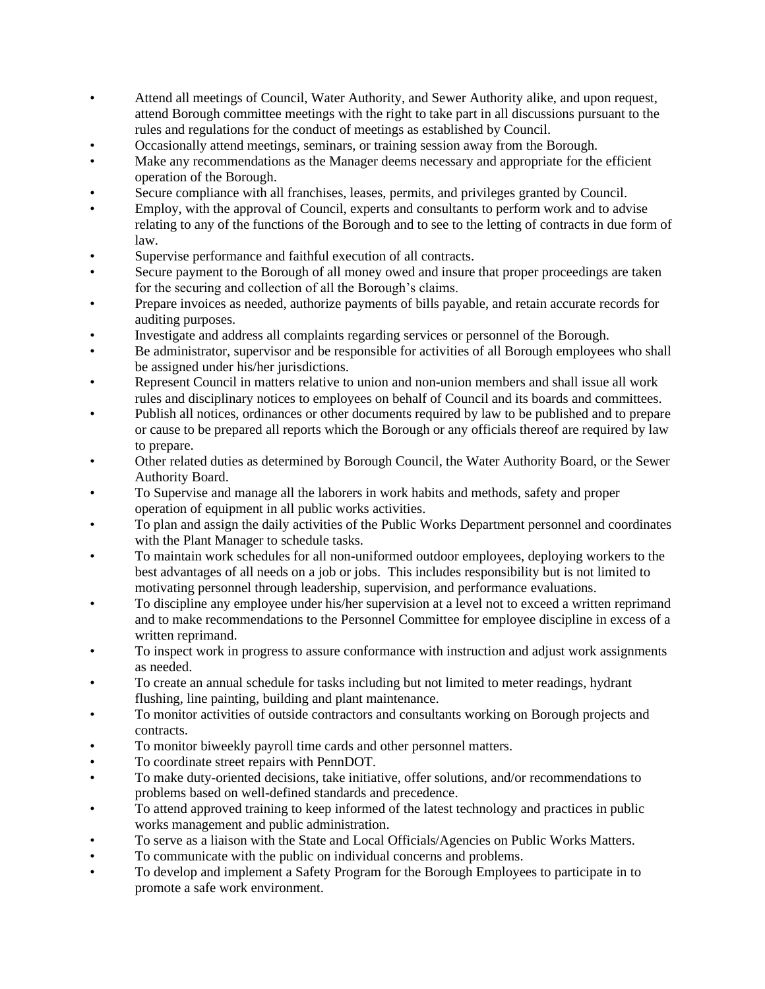- Attend all meetings of Council, Water Authority, and Sewer Authority alike, and upon request, attend Borough committee meetings with the right to take part in all discussions pursuant to the rules and regulations for the conduct of meetings as established by Council.
- Occasionally attend meetings, seminars, or training session away from the Borough.
- Make any recommendations as the Manager deems necessary and appropriate for the efficient operation of the Borough.
- Secure compliance with all franchises, leases, permits, and privileges granted by Council.
- Employ, with the approval of Council, experts and consultants to perform work and to advise relating to any of the functions of the Borough and to see to the letting of contracts in due form of law.
- Supervise performance and faithful execution of all contracts.
- Secure payment to the Borough of all money owed and insure that proper proceedings are taken for the securing and collection of all the Borough's claims.
- Prepare invoices as needed, authorize payments of bills payable, and retain accurate records for auditing purposes.
- Investigate and address all complaints regarding services or personnel of the Borough.
- Be administrator, supervisor and be responsible for activities of all Borough employees who shall be assigned under his/her jurisdictions.
- Represent Council in matters relative to union and non-union members and shall issue all work rules and disciplinary notices to employees on behalf of Council and its boards and committees.
- Publish all notices, ordinances or other documents required by law to be published and to prepare or cause to be prepared all reports which the Borough or any officials thereof are required by law to prepare.
- Other related duties as determined by Borough Council, the Water Authority Board, or the Sewer Authority Board.
- To Supervise and manage all the laborers in work habits and methods, safety and proper operation of equipment in all public works activities.
- To plan and assign the daily activities of the Public Works Department personnel and coordinates with the Plant Manager to schedule tasks.
- To maintain work schedules for all non-uniformed outdoor employees, deploying workers to the best advantages of all needs on a job or jobs. This includes responsibility but is not limited to motivating personnel through leadership, supervision, and performance evaluations.
- To discipline any employee under his/her supervision at a level not to exceed a written reprimand and to make recommendations to the Personnel Committee for employee discipline in excess of a written reprimand.
- To inspect work in progress to assure conformance with instruction and adjust work assignments as needed.
- To create an annual schedule for tasks including but not limited to meter readings, hydrant flushing, line painting, building and plant maintenance.
- To monitor activities of outside contractors and consultants working on Borough projects and contracts.
- To monitor biweekly payroll time cards and other personnel matters.
- To coordinate street repairs with PennDOT.
- To make duty-oriented decisions, take initiative, offer solutions, and/or recommendations to problems based on well-defined standards and precedence.
- To attend approved training to keep informed of the latest technology and practices in public works management and public administration.
- To serve as a liaison with the State and Local Officials/Agencies on Public Works Matters.
- To communicate with the public on individual concerns and problems.
- To develop and implement a Safety Program for the Borough Employees to participate in to promote a safe work environment.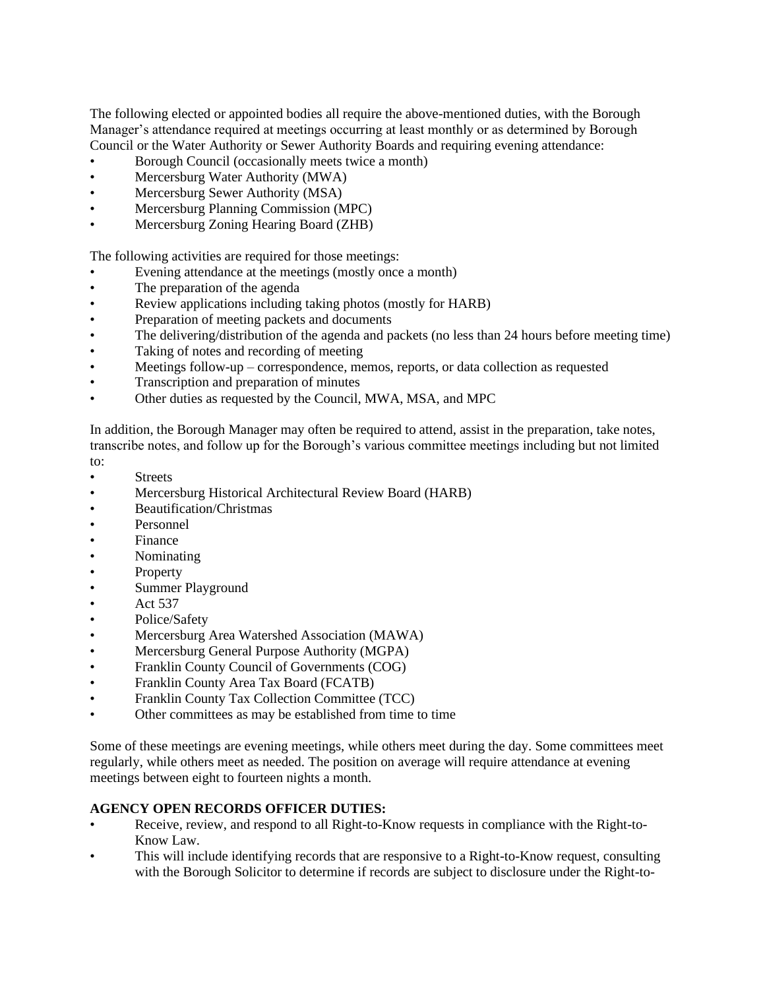The following elected or appointed bodies all require the above-mentioned duties, with the Borough Manager's attendance required at meetings occurring at least monthly or as determined by Borough Council or the Water Authority or Sewer Authority Boards and requiring evening attendance:

- Borough Council (occasionally meets twice a month)
- Mercersburg Water Authority (MWA)
- Mercersburg Sewer Authority (MSA)
- Mercersburg Planning Commission (MPC)
- Mercersburg Zoning Hearing Board (ZHB)

The following activities are required for those meetings:

- Evening attendance at the meetings (mostly once a month)
- The preparation of the agenda
- Review applications including taking photos (mostly for HARB)
- Preparation of meeting packets and documents
- The delivering/distribution of the agenda and packets (no less than 24 hours before meeting time)
- Taking of notes and recording of meeting
- Meetings follow-up correspondence, memos, reports, or data collection as requested
- Transcription and preparation of minutes
- Other duties as requested by the Council, MWA, MSA, and MPC

In addition, the Borough Manager may often be required to attend, assist in the preparation, take notes, transcribe notes, and follow up for the Borough's various committee meetings including but not limited

- to:
- Streets
- Mercersburg Historical Architectural Review Board (HARB)
- Beautification/Christmas
- Personnel
- **Finance**
- Nominating
- Property
- Summer Playground
- Act 537
- Police/Safety
- Mercersburg Area Watershed Association (MAWA)
- Mercersburg General Purpose Authority (MGPA)
- Franklin County Council of Governments (COG)
- Franklin County Area Tax Board (FCATB)
- Franklin County Tax Collection Committee (TCC)
- Other committees as may be established from time to time

Some of these meetings are evening meetings, while others meet during the day. Some committees meet regularly, while others meet as needed. The position on average will require attendance at evening meetings between eight to fourteen nights a month.

#### **AGENCY OPEN RECORDS OFFICER DUTIES:**

- Receive, review, and respond to all Right-to-Know requests in compliance with the Right-to-Know Law.
- This will include identifying records that are responsive to a Right-to-Know request, consulting with the Borough Solicitor to determine if records are subject to disclosure under the Right-to-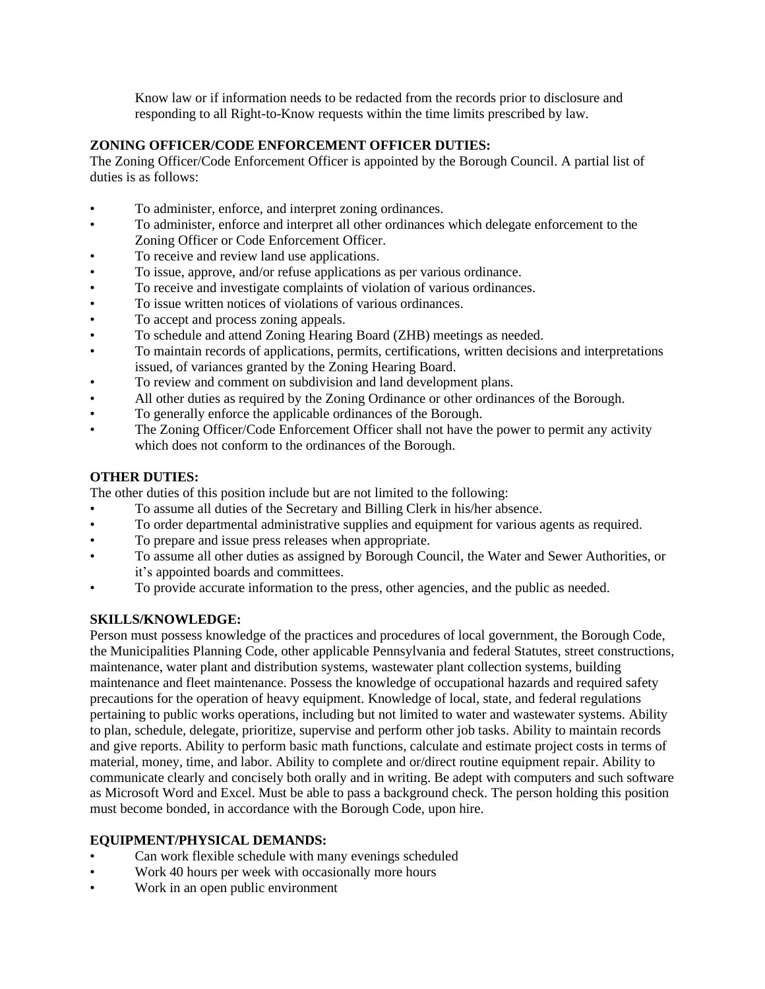Know law or if information needs to be redacted from the records prior to disclosure and responding to all Right-to-Know requests within the time limits prescribed by law.

## **ZONING OFFICER/CODE ENFORCEMENT OFFICER DUTIES:**

The Zoning Officer/Code Enforcement Officer is appointed by the Borough Council. A partial list of duties is as follows:

- To administer, enforce, and interpret zoning ordinances.
- To administer, enforce and interpret all other ordinances which delegate enforcement to the Zoning Officer or Code Enforcement Officer.
- To receive and review land use applications.
- To issue, approve, and/or refuse applications as per various ordinance.
- To receive and investigate complaints of violation of various ordinances.
- To issue written notices of violations of various ordinances.
- To accept and process zoning appeals.
- To schedule and attend Zoning Hearing Board (ZHB) meetings as needed.
- To maintain records of applications, permits, certifications, written decisions and interpretations issued, of variances granted by the Zoning Hearing Board.
- To review and comment on subdivision and land development plans.
- All other duties as required by the Zoning Ordinance or other ordinances of the Borough.
- To generally enforce the applicable ordinances of the Borough.
- The Zoning Officer/Code Enforcement Officer shall not have the power to permit any activity which does not conform to the ordinances of the Borough.

## **OTHER DUTIES:**

The other duties of this position include but are not limited to the following:

- To assume all duties of the Secretary and Billing Clerk in his/her absence.
- To order departmental administrative supplies and equipment for various agents as required.
- To prepare and issue press releases when appropriate.
- To assume all other duties as assigned by Borough Council, the Water and Sewer Authorities, or it's appointed boards and committees.
- To provide accurate information to the press, other agencies, and the public as needed.

#### **SKILLS/KNOWLEDGE:**

Person must possess knowledge of the practices and procedures of local government, the Borough Code, the Municipalities Planning Code, other applicable Pennsylvania and federal Statutes, street constructions, maintenance, water plant and distribution systems, wastewater plant collection systems, building maintenance and fleet maintenance. Possess the knowledge of occupational hazards and required safety precautions for the operation of heavy equipment. Knowledge of local, state, and federal regulations pertaining to public works operations, including but not limited to water and wastewater systems. Ability to plan, schedule, delegate, prioritize, supervise and perform other job tasks. Ability to maintain records and give reports. Ability to perform basic math functions, calculate and estimate project costs in terms of material, money, time, and labor. Ability to complete and or/direct routine equipment repair. Ability to communicate clearly and concisely both orally and in writing. Be adept with computers and such software as Microsoft Word and Excel. Must be able to pass a background check. The person holding this position must become bonded, in accordance with the Borough Code, upon hire.

#### **EQUIPMENT/PHYSICAL DEMANDS:**

- Can work flexible schedule with many evenings scheduled
- Work 40 hours per week with occasionally more hours
- Work in an open public environment